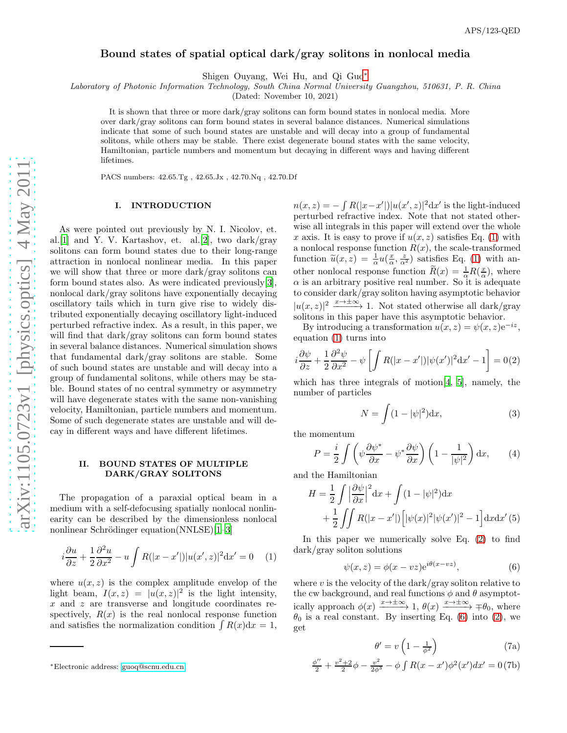# Bound states of spatial optical dark/gray solitons in nonlocal media

Shigen Ouyang, Wei Hu, and Qi Guo[∗](#page-0-0)

Laboratory of Photonic Information Technology, South China Normal University Guangzhou, 510631, P. R. China

(Dated: November 10, 2021)

It is shown that three or more dark/gray solitons can form bound states in nonlocal media. More over dark/gray solitons can form bound states in several balance distances. Numerical simulations indicate that some of such bound states are unstable and will decay into a group of fundamental solitons, while others may be stable. There exist degenerate bound states with the same velocity, Hamiltonian, particle numbers and momentum but decaying in different ways and having different lifetimes.

PACS numbers: 42.65.Tg , 42.65.Jx , 42.70.Nq , 42.70.Df

#### I. INTRODUCTION

As were pointed out previously by N. I. Nicolov, et. al.[\[1](#page-4-0)] and Y. V. Kartashov, et. al.[\[2](#page-4-1)], two dark/gray solitons can form bound states due to their long-range attraction in nonlocal nonlinear media. In this paper we will show that three or more dark/gray solitons can form bound states also. As were indicated previously[\[3\]](#page-4-2), nonlocal dark/gray solitons have exponentially decaying oscillatory tails which in turn give rise to widely distributed exponentially decaying oscillatory light-induced perturbed refractive index. As a result, in this paper, we will find that dark/gray solitons can form bound states in several balance distances. Numerical simulation shows that fundamental dark/gray solitons are stable. Some of such bound states are unstable and will decay into a group of fundamental solitons, while others may be stable. Bound states of no central symmetry or asymmetry will have degenerate states with the same non-vanishing velocity, Hamiltonian, particle numbers and momentum. Some of such degenerate states are unstable and will decay in different ways and have different lifetimes.

## II. BOUND STATES OF MULTIPLE DARK/GRAY SOLITONS

The propagation of a paraxial optical beam in a medium with a self-defocusing spatially nonlocal nonlinearity can be described by the dimensionless nonlocal nonlinear Schrödinger equation( $NNLSE$ )[\[1](#page-4-0)[–3\]](#page-4-2)

<span id="page-0-1"></span>
$$
i\frac{\partial u}{\partial z} + \frac{1}{2}\frac{\partial^2 u}{\partial x^2} - u \int R(|x - x'|)|u(x', z)|^2 dx' = 0 \quad (1)
$$

where  $u(x, z)$  is the complex amplitude envelop of the light beam,  $I(x, z) = |u(x, z)|^2$  is the light intensity, x and z are transverse and longitude coordinates respectively,  $R(x)$  is the real nonlocal response function and satisfies the normalization condition  $\int R(x) dx = 1$ ,

 $n(x, z) = -\int R(|x - x'|)|u(x', z)|^2 dx'$  is the light-induced perturbed refractive index. Note that not stated otherwise all integrals in this paper will extend over the whole x axis. It is easy to prove if  $u(x, z)$  satisfies Eq. [\(1\)](#page-0-1) with a nonlocal response function  $R(x)$ , the scale-transformed function  $\tilde{u}(x, z) = \frac{1}{\alpha} u(\frac{x}{\alpha}, \frac{z}{\alpha^2})$  satisfies Eq. [\(1\)](#page-0-1) with another nonlocal response function  $\widetilde{R}(x) = \frac{1}{\alpha} R(\frac{x}{\alpha})$ , where  $\alpha$  is an arbitrary positive real number. So it is adequate to consider dark/gray soliton having asymptotic behavior  $|u(x, z)|^2 \xrightarrow{x \to \pm \infty} 1$ . Not stated otherwise all dark/gray solitons in this paper have this asymptotic behavior.

By introducing a transformation  $u(x, z) = \psi(x, z)e^{-iz}$ , equation [\(1\)](#page-0-1) turns into

<span id="page-0-2"></span>
$$
i\frac{\partial\psi}{\partial z} + \frac{1}{2}\frac{\partial^2\psi}{\partial x^2} - \psi \left[ \int R(|x - x'|)|\psi(x')|^2 \mathrm{d}x' - 1 \right] = 0(2)
$$

which has three integrals of motion[\[4](#page-4-3), [5\]](#page-4-4), namely, the number of particles

$$
N = \int (1 - |\psi|^2) \mathrm{d}x,\tag{3}
$$

the momentum

φ

$$
P = \frac{i}{2} \int \left( \psi \frac{\partial \psi^*}{\partial x} - \psi^* \frac{\partial \psi}{\partial x} \right) \left( 1 - \frac{1}{|\psi|^2} \right) dx, \qquad (4)
$$

and the Hamiltonian

$$
H = \frac{1}{2} \int \left| \frac{\partial \psi}{\partial x} \right|^2 dx + \int (1 - |\psi|^2) dx
$$

$$
+ \frac{1}{2} \int \int R(|x - x'|) \left[ |\psi(x)|^2 |\psi(x')|^2 - 1 \right] dx dx'(5)
$$

In this paper we numerically solve Eq. [\(2\)](#page-0-2) to find dark/gray soliton solutions

<span id="page-0-3"></span>
$$
\psi(x,z) = \phi(x - vz)e^{i\theta(x - vz)},\tag{6}
$$

where  $v$  is the velocity of the dark/gray soliton relative to the cw background, and real functions  $\phi$  and  $\theta$  asymptotically approach  $\phi(x) \xrightarrow{x \to \pm \infty} 1$ ,  $\theta(x) \xrightarrow{x \to \pm \infty} \mp \theta_0$ , where  $\theta_0$  is a real constant. By inserting Eq. [\(6\)](#page-0-3) into [\(2\)](#page-0-2), we get

$$
\theta' = v \left( 1 - \frac{1}{\phi^2} \right) \tag{7a}
$$

<span id="page-0-4"></span>
$$
\frac{\phi''}{2} + \frac{v^2 + 2}{2}\phi - \frac{v^2}{2\phi^3} - \phi \int R(x - x')\phi^2(x')dx' = 0
$$
 (7b)

<span id="page-0-0"></span><sup>∗</sup>Electronic address: [guoq@scnu.edu.cn](mailto:guoq@scnu.edu.cn)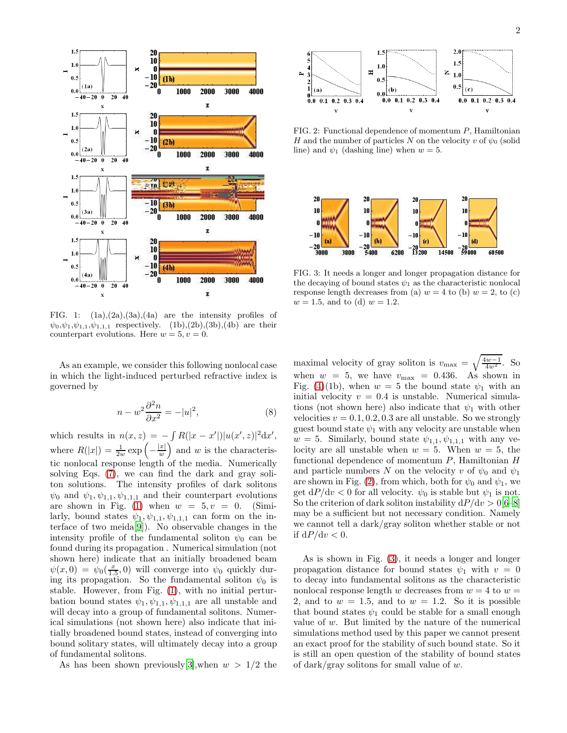

<span id="page-1-0"></span>FIG. 1:  $(1a),(2a),(3a),(4a)$  are the intensity profiles of  $\psi_0, \psi_1, \psi_{1,1}, \psi_{1,1,1}$  respectively. (1b),(2b),(3b),(4b) are their counterpart evolutions. Here  $w = 5, v = 0$ .

As an example, we consider this following nonlocal case in which the light-induced perturbed refractive index is governed by

$$
n - w^2 \frac{\partial^2 n}{\partial x^2} = -|u|^2,\tag{8}
$$

which results in  $n(x, z) = -\int R(|x - x'|)|u(x', z)|^2 dx'$ , where  $R(|x|) = \frac{1}{2w} \exp \left(-\frac{|x|}{w}\right)$ w ) and  $w$  is the characteristic nonlocal response length of the media. Numerically solving Eqs. [\(7\)](#page-0-4), we can find the dark and gray soliton solutions. The intensity profiles of dark solitons  $\psi_0$  and  $\psi_1, \psi_{1,1}, \psi_{1,1,1}$  and their counterpart evolutions are shown in Fig. [\(1\)](#page-1-0) when  $w = 5, v = 0$ . (Similarly, bound states  $\psi_1, \psi_{1,1}, \psi_{1,1,1}$  can form on the interface of two meida[\[9\]](#page-4-5)). No observable changes in the intensity profile of the fundamental soliton  $\psi_0$  can be found during its propagation . Numerical simulation (not shown here) indicate that an initially broadened beam  $\psi(x,0) = \psi_0(\frac{x}{1.5},0)$  will converge into  $\psi_0$  quickly during its propagation. So the fundamental soliton  $\psi_0$  is stable. However, from Fig. [\(1\)](#page-1-0), with no initial perturbation bound states  $\psi_1, \psi_{1,1}, \psi_{1,1,1}$  are all unstable and will decay into a group of fundamental solitons. Numerical simulations (not shown here) also indicate that initially broadened bound states, instead of converging into bound solitary states, will ultimately decay into a group of fundamental solitons.

As has been shown previously [\[3\]](#page-4-2), when  $w > 1/2$  the



<span id="page-1-1"></span>FIG. 2: Functional dependence of momentum P, Hamiltonian H and the number of particles N on the velocity v of  $\psi_0$  (solid line) and  $\psi_1$  (dashing line) when  $w = 5$ .



<span id="page-1-2"></span>FIG. 3: It needs a longer and longer propagation distance for the decaying of bound states  $\psi_1$  as the characteristic nonlocal response length decreases from (a)  $w = 4$  to (b)  $w = 2$ , to (c)  $w = 1.5$ , and to (d)  $w = 1.2$ .

maximal velocity of gray soliton is  $v_{\text{max}} = \sqrt{\frac{4w-1}{4w^2}}$ . So when  $w = 5$ , we have  $v_{\text{max}} = 0.436$ . As shown in Fig. [\(4\)](#page-2-0)(1b), when  $w = 5$  the bound state  $\psi_1$  with an initial velocity  $v = 0.4$  is unstable. Numerical simulations (not shown here) also indicate that  $\psi_1$  with other velocities  $v = 0.1, 0.2, 0.3$  are all unstable. So we strongly guest bound state  $\psi_1$  with any velocity are unstable when  $w = 5$ . Similarly, bound state  $\psi_{1,1}, \psi_{1,1,1}$  with any velocity are all unstable when  $w = 5$ . When  $w = 5$ , the functional dependence of momentum  $P$ , Hamiltonian  $H$ and particle numbers N on the velocity v of  $\psi_0$  and  $\psi_1$ are shown in Fig. [\(2\)](#page-1-1), from which, both for  $\psi_0$  and  $\psi_1$ , we get  $dP/dv < 0$  for all velocity.  $\psi_0$  is stable but  $\psi_1$  is not. So the criterion of dark soliton instability  $dP/dv > 0[6-8]$  $dP/dv > 0[6-8]$  $dP/dv > 0[6-8]$ may be a sufficient but not necessary condition. Namely we cannot tell a dark/gray soliton whether stable or not if  $dP/dv < 0$ .

As is shown in Fig. [\(3\)](#page-1-2), it needs a longer and longer propagation distance for bound states  $\psi_1$  with  $v = 0$ to decay into fundamental solitons as the characteristic nonlocal response length w decreases from  $w = 4$  to  $w =$ 2, and to  $w = 1.5$ , and to  $w = 1.2$ . So it is possible that bound states  $\psi_1$  could be stable for a small enough value of w. But limited by the nature of the numerical simulations method used by this paper we cannot present an exact proof for the stability of such bound state. So it is still an open question of the stability of bound states of dark/gray solitons for small value of  $w$ .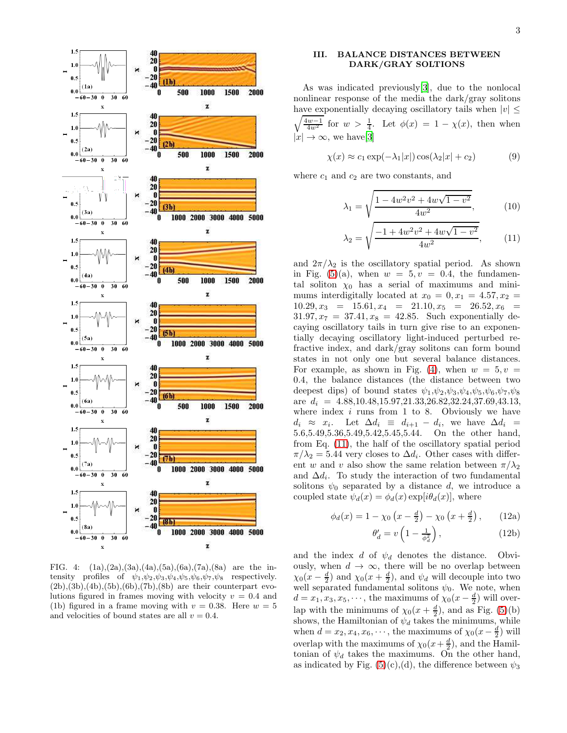3



<span id="page-2-0"></span>FIG. 4:  $(1a),(2a),(3a),(4a),(5a),(6a),(7a),(8a)$  are the intensity profiles of  $\psi_1, \psi_2, \psi_3, \psi_4, \psi_5, \psi_6, \psi_7, \psi_8$  respectively.  $(2b),(3b),(4b),(5b),(6b),(7b),(8b)$  are their counterpart evolutions figured in frames moving with velocity  $v = 0.4$  and (1b) figured in a frame moving with  $v = 0.38$ . Here  $w = 5$ and velocities of bound states are all  $v = 0.4$ .

## III. BALANCE DISTANCES BETWEEN DARK/GRAY SOLTIONS

As was indicated previously[\[3\]](#page-4-2), due to the nonlocal nonlinear response of the media the dark/gray solitons have exponentially decaying oscillatory tails when  $|v| \le$  $\sqrt{\frac{4w-1}{4w^2}}$  for  $w > \frac{1}{4}$ . Let  $\phi(x) = 1 - \chi(x)$ , then when  $|x| \to \infty$ , we have [\[3\]](#page-4-2)

$$
\chi(x) \approx c_1 \exp(-\lambda_1|x|) \cos(\lambda_2|x| + c_2)
$$
 (9)

where  $c_1$  and  $c_2$  are two constants, and

<span id="page-2-1"></span>
$$
\lambda_1 = \sqrt{\frac{1 - 4w^2v^2 + 4w\sqrt{1 - v^2}}{4w^2}},\tag{10}
$$

$$
\lambda_2 = \sqrt{\frac{-1 + 4w^2v^2 + 4w\sqrt{1 - v^2}}{4w^2}},\qquad(11)
$$

and  $2\pi/\lambda_2$  is the oscillatory spatial period. As shown in Fig. [\(5\)](#page-3-0)(a), when  $w = 5, v = 0.4$ , the fundamental soliton  $\chi_0$  has a serial of maximums and minimums interdigitally located at  $x_0 = 0, x_1 = 4.57, x_2 =$  $10.29, x_3 = 15.61, x_4 = 21.10, x_5 = 26.52, x_6 =$  $31.97, x_7 = 37.41, x_8 = 42.85$ . Such exponentially decaying oscillatory tails in turn give rise to an exponentially decaying oscillatory light-induced perturbed refractive index, and dark/gray solitons can form bound states in not only one but several balance distances. For example, as shown in Fig. [\(4\)](#page-2-0), when  $w = 5, v =$ 0.4, the balance distances (the distance between two deepest dips) of bound states  $\psi_1, \psi_2, \psi_3, \psi_4, \psi_5, \psi_6, \psi_7, \psi_8$ are  $d_i = 4.88, 10.48, 15.97, 21.33, 26.82, 32.24, 37.69, 43.13,$ where index  $i$  runs from 1 to 8. Obviously we have  $d_i \approx x_i$ . Let  $\Delta d_i \equiv d_{i+1} - d_i$ , we have  $\Delta d_i =$ 5.6,5.49,5.36,5.49,5.42,5.45,5.44. On the other hand, from Eq. [\(11\)](#page-2-1), the half of the oscillatory spatial period  $\pi/\lambda_2 = 5.44$  very closes to  $\Delta d_i$ . Other cases with different w and v also show the same relation between  $\pi/\lambda_2$ and  $\Delta d_i$ . To study the interaction of two fundamental solitons  $\psi_0$  separated by a distance d, we introduce a coupled state  $\psi_d(x) = \phi_d(x) \exp[i\theta_d(x)]$ , where

$$
\phi_d(x) = 1 - \chi_0 \left( x - \frac{d}{2} \right) - \chi_0 \left( x + \frac{d}{2} \right), \quad (12a)
$$

$$
\theta_d' = v \left( 1 - \frac{1}{\phi_d^2} \right), \tag{12b}
$$

and the index d of  $\psi_d$  denotes the distance. Obviously, when  $d \to \infty$ , there will be no overlap between  $\chi_0(x-\frac{d}{2})$  and  $\chi_0(x+\frac{d}{2})$ , and  $\psi_d$  will decouple into two well separated fundamental solitons  $\psi_0$ . We note, when  $d = x_1, x_3, x_5, \cdots$ , the maximums of  $\chi_0(x - \frac{d}{2})$  will overlap with the minimums of  $\chi_0(x+\frac{d}{2})$ , and as Fig. [\(5\)](#page-3-0)(b) shows, the Hamiltonian of  $\psi_d$  takes the minimums, while when  $d = x_2, x_4, x_6, \dots$ , the maximums of  $\chi_0(x - \frac{d}{2})$  will overlap with the maximums of  $\chi_0(x+\frac{d}{2})$ , and the Hamiltonian of  $\psi_d$  takes the maximums. On the other hand, as indicated by Fig.  $(5)(c)$ ,  $(d)$ , the difference between  $\psi_3$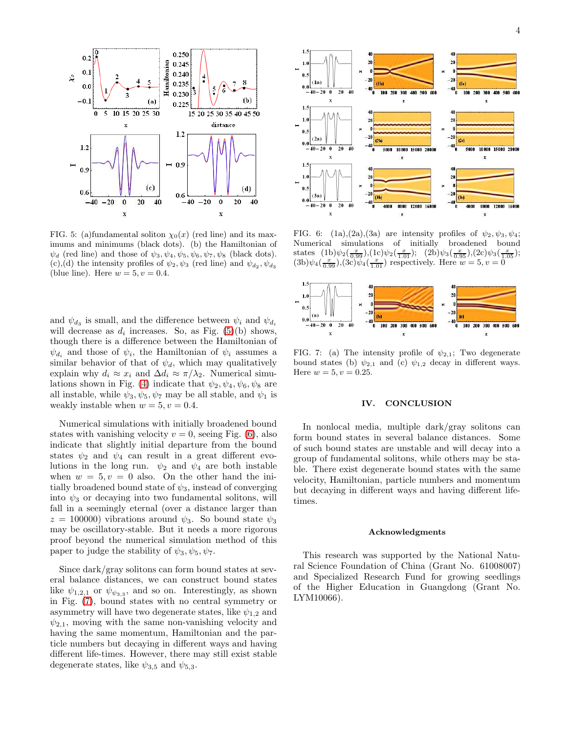

<span id="page-3-0"></span>FIG. 5: (a)fundamental soliton  $\chi_0(x)$  (red line) and its maximums and minimums (black dots). (b) the Hamiltonian of  $\psi_d$  (red line) and those of  $\psi_3, \psi_4, \psi_5, \psi_6, \psi_7, \psi_8$  (black dots). (c),(d) the intensity profiles of  $\psi_2, \psi_3$  (red line) and  $\psi_{d_2}, \psi_{d_3}$ (blue line). Here  $w = 5, v = 0.4$ .

and  $\psi_{d_3}$  is small, and the difference between  $\psi_i$  and  $\psi_{d_i}$ will decrease as  $d_i$  increases. So, as Fig. [\(5\)](#page-3-0)(b) shows, though there is a difference between the Hamiltonian of  $\psi_{d_i}$  and those of  $\psi_i$ , the Hamiltonian of  $\psi_i$  assumes a similar behavior of that of  $\psi_d$ , which may qualitatively explain why  $d_i \approx x_i$  and  $\Delta d_i \approx \pi/\lambda_2$ . Numerical simu-lations shown in Fig. [\(4\)](#page-2-0) indicate that  $\psi_2, \psi_4, \psi_6, \psi_8$  are all instable, while  $\psi_3, \psi_5, \psi_7$  may be all stable, and  $\psi_1$  is weakly instable when  $w = 5, v = 0.4$ .

Numerical simulations with initially broadened bound states with vanishing velocity  $v = 0$ , seeing Fig. [\(6\)](#page-3-1), also indicate that slightly initial departure from the bound states  $\psi_2$  and  $\psi_4$  can result in a great different evolutions in the long run.  $\psi_2$  and  $\psi_4$  are both instable when  $w = 5, v = 0$  also. On the other hand the initially broadened bound state of  $\psi_3$ , instead of converging into  $\psi_3$  or decaying into two fundamental solitons, will fall in a seemingly eternal (over a distance larger than  $z = 100000$ ) vibrations around  $\psi_3$ . So bound state  $\psi_3$ may be oscillatory-stable. But it needs a more rigorous proof beyond the numerical simulation method of this paper to judge the stability of  $\psi_3, \psi_5, \psi_7$ .

Since dark/gray solitons can form bound states at several balance distances, we can construct bound states like  $\psi_{1,2,1}$  or  $\psi_{\psi_{3,3}}$ , and so on. Interestingly, as shown in Fig. [\(7\)](#page-3-2), bound states with no central symmetry or asymmetry will have two degenerate states, like  $\psi_{1,2}$  and  $\psi_{2,1}$ , moving with the same non-vanishing velocity and having the same momentum, Hamiltonian and the particle numbers but decaying in different ways and having different life-times. However, there may still exist stable degenerate states, like  $\psi_{3,5}$  and  $\psi_{5,3}$ .



<span id="page-3-1"></span>FIG. 6: (1a),(2a),(3a) are intensity profiles of  $\psi_2, \psi_3, \psi_4$ ; Numerical simulations of initially broadened bound states  $(1b)\psi_2(\frac{x}{0.99})$ , $(1c)\psi_2(\frac{x}{1.01})$ ;  $(2b)\psi_3(\frac{x}{0.95})$ , $(2c)\psi_3(\frac{x}{1.05})$ ;  $(3b)\psi_4(\frac{x}{0.99})$ , $(3c)\psi_4(\frac{x}{1.01})$  respectively. Here  $w=5, v=0$ 



<span id="page-3-2"></span>FIG. 7: (a) The intensity profile of  $\psi_{2,1}$ ; Two degenerate bound states (b)  $\psi_{2,1}$  and (c)  $\psi_{1,2}$  decay in different ways. Here  $w = 5, v = 0.25$ .

## IV. CONCLUSION

In nonlocal media, multiple dark/gray solitons can form bound states in several balance distances. Some of such bound states are unstable and will decay into a group of fundamental solitons, while others may be stable. There exist degenerate bound states with the same velocity, Hamiltonian, particle numbers and momentum but decaying in different ways and having different lifetimes.

#### Acknowledgments

This research was supported by the National Natural Science Foundation of China (Grant No. 61008007) and Specialized Research Fund for growing seedlings of the Higher Education in Guangdong (Grant No. LYM10066).